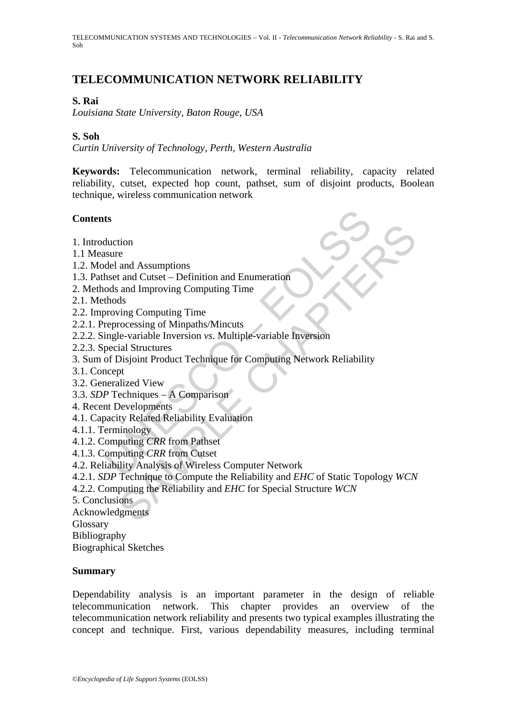# **TELECOMMUNICATION NETWORK RELIABILITY**

#### **S. Rai**

*Louisiana State University, Baton Rouge, USA* 

#### **S. Soh**

*Curtin University of Technology, Perth, Western Australia* 

**Keywords:** Telecommunication network, terminal reliability, capacity related reliability, cutset, expected hop count, pathset, sum of disjoint products, Boolean technique, wireless communication network

#### **Contents**

- 1. Introduction
- 1.1 Measure
- 1.2. Model and Assumptions
- 1.3. Pathset and Cutset Definition and Enumeration
- 2. Methods and Improving Computing Time
- 2.1. Methods
- 2.2. Improving Computing Time
- 2.2.1. Preprocessing of Minpaths/Mincuts
- 2.2.2. Single-variable Inversion *vs*. Multiple-variable Inversion
- 2.2.3. Special Structures
- **ts**<br>
sheet and Culset Definition and Enumeration<br>
holst and Culset Definition and Enumeration<br>
ods and Improving Computing Time<br>
thods<br>
proving Computing Time<br>
thods<br>
proving Computing Time<br>
reprocessing of Minpaths/M 3. Sum of Disjoint Product Technique for Computing Network Reliability
- 3.1. Concept
- 3.2. Generalized View
- 3.3. *SDP* Techniques A Comparison
- 4. Recent Developments
- 4.1. Capacity Related Reliability Evaluation
- 4.1.1. Terminology
- 4.1.2. Computing *CRR* from Pathset
- 4.1.3. Computing *CRR* from Cutset
- 4.2. Reliability Analysis of Wireless Computer Network
- tion<br>
e<br>
and Assumptions<br>
and Cutset Definition and Enumeration<br>
and Improving Computing Time<br>
rocessing of Minpaths/Mincuts<br>
wing Computing Time<br>
rocessing of Minpaths/Mincuts<br>
le-variable Inversion<br>
ving Computing Time 4.2.1. *SDP* Technique to Compute the Reliability and *EHC* of Static Topology *WCN*
- 4.2.2. Computing the Reliability and *EHC* for Special Structure *WCN*
- 5. Conclusions
- Acknowledgments

Glossary

Bibliography

Biographical Sketches

#### **Summary**

Dependability analysis is an important parameter in the design of reliable telecommunication network. This chapter provides an overview of the telecommunication network reliability and presents two typical examples illustrating the concept and technique. First, various dependability measures, including terminal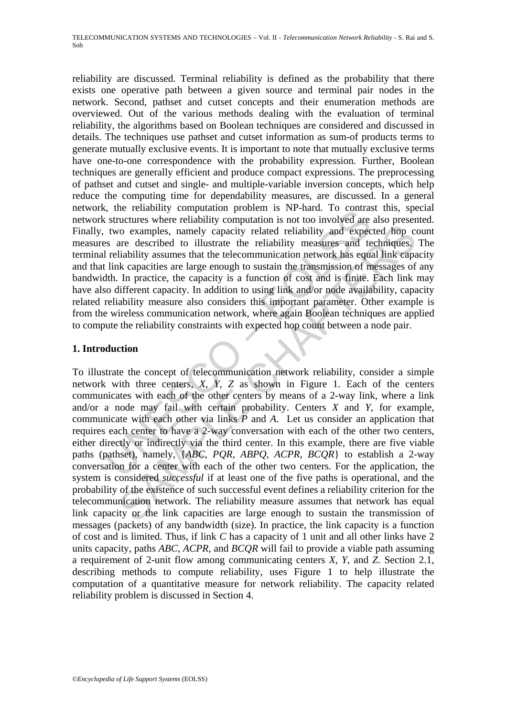the relation production problem is Nr-natu. To Contrast<br>structures where reliability computation is not too involved are<br>two examples, namely capacity related reliability and expect<br>as two examples, namely capacity relate reliability are discussed. Terminal reliability is defined as the probability that there exists one operative path between a given source and terminal pair nodes in the network. Second, pathset and cutset concepts and their enumeration methods are overviewed. Out of the various methods dealing with the evaluation of terminal reliability, the algorithms based on Boolean techniques are considered and discussed in details. The techniques use pathset and cutset information as sum-of products terms to generate mutually exclusive events. It is important to note that mutually exclusive terms have one-to-one correspondence with the probability expression. Further, Boolean techniques are generally efficient and produce compact expressions. The preprocessing of pathset and cutset and single- and multiple-variable inversion concepts, which help reduce the computing time for dependability measures, are discussed. In a general network, the reliability computation problem is NP-hard. To contrast this, special network structures where reliability computation is not too involved are also presented. Finally, two examples, namely capacity related reliability and expected hop count measures are described to illustrate the reliability measures and techniques. The terminal reliability assumes that the telecommunication network has equal link capacity and that link capacities are large enough to sustain the transmission of messages of any bandwidth. In practice, the capacity is a function of cost and is finite. Each link may have also different capacity. In addition to using link and/or node availability, capacity related reliability measure also considers this important parameter. Other example is from the wireless communication network, where again Boolean techniques are applied to compute the reliability constraints with expected hop count between a node pair.

# **1. Introduction**

To examples, namely capacity related reliability and expected hop correct described to illustrate the reliability measures and techniques, liability assumes that the telecommunication network has equal link capacity is a To illustrate the concept of telecommunication network reliability, consider a simple network with three centers, *X*, *Y*, *Z* as shown in Figure 1. Each of the centers communicates with each of the other centers by means of a 2-way link, where a link and/or a node may fail with certain probability. Centers *X* and *Y*, for example, communicate with each other via links *P* and *A*. Let us consider an application that requires each center to have a 2-way conversation with each of the other two centers, either directly or indirectly via the third center. In this example, there are five viable paths (pathset), namely, {*ABC*, *PQR*, *ABPQ*, *ACPR*, *BCQR*} to establish a 2-way conversation for a center with each of the other two centers. For the application, the system is considered *successful* if at least one of the five paths is operational, and the probability of the existence of such successful event defines a reliability criterion for the telecommunication network. The reliability measure assumes that network has equal link capacity or the link capacities are large enough to sustain the transmission of messages (packets) of any bandwidth (size). In practice, the link capacity is a function of cost and is limited. Thus, if link *C* has a capacity of 1 unit and all other links have 2 units capacity, paths *ABC*, *ACPR*, and *BCQR* will fail to provide a viable path assuming a requirement of 2-unit flow among communicating centers *X*, *Y*, and *Z*. Section 2.1, describing methods to compute reliability, uses Figure 1 to help illustrate the computation of a quantitative measure for network reliability. The capacity related reliability problem is discussed in Section 4.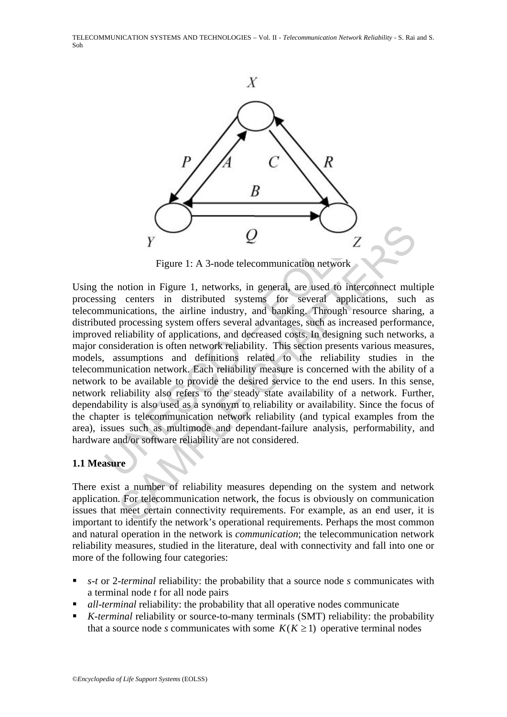

Figure 1: A 3-node telecommunication network

V<br>
V<br>
Figure 1: A 3-node telecommunication network<br>
he notion in Figure 1, networks, in general, are used to interce<br>
ing centers in distributed systems for several applicatio<br>
munications, the airline industry, and bankin Example 1: A 3-node telecommunication network<br>
Figure 1: A 3-node telecommunication network<br>
notion in Figure 1, networks, in general, are used to interconnect multitude<br>
centers in distributed systems for several applicat Using the notion in Figure 1, networks, in general, are used to interconnect multiple processing centers in distributed systems for several applications, such as telecommunications, the airline industry, and banking. Through resource sharing, a distributed processing system offers several advantages, such as increased performance, improved reliability of applications, and decreased costs. In designing such networks, a major consideration is often network reliability. This section presents various measures, models, assumptions and definitions related to the reliability studies in the telecommunication network. Each reliability measure is concerned with the ability of a network to be available to provide the desired service to the end users. In this sense, network reliability also refers to the steady state availability of a network. Further, dependability is also used as a synonym to reliability or availability. Since the focus of the chapter is telecommunication network reliability (and typical examples from the area), issues such as multimode and dependant-failure analysis, performability, and hardware and/or software reliability are not considered.

### **1.1 Measure**

There exist a number of reliability measures depending on the system and network application. For telecommunication network, the focus is obviously on communication issues that meet certain connectivity requirements. For example, as an end user, it is important to identify the network's operational requirements. Perhaps the most common and natural operation in the network is *communication*; the telecommunication network reliability measures, studied in the literature, deal with connectivity and fall into one or more of the following four categories:

- *s-t* or 2-*terminal* reliability: the probability that a source node *s* communicates with a terminal node *t* for all node pairs
- *all*-*terminal* reliability: the probability that all operative nodes communicate
- *K-terminal* reliability or source-to-many terminals (SMT) reliability: the probability that a source node *s* communicates with some  $K(K \ge 1)$  operative terminal nodes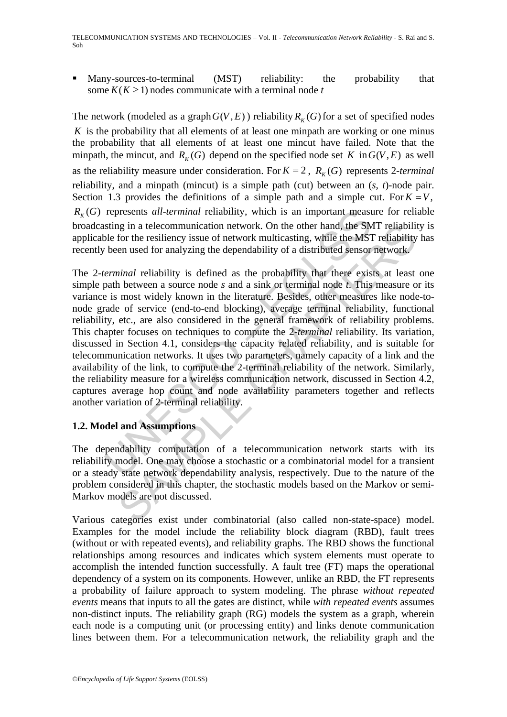Many-sources-to-terminal (MST) reliability: the probability that some  $K(K \geq 1)$  nodes communicate with a terminal node *t* 

The network (modeled as a graph  $G(V, E)$ ) reliability  $R_K(G)$  for a set of specified nodes *K* is the probability that all elements of at least one minpath are working or one minus the probability that all elements of at least one mincut have failed. Note that the minpath, the mincut, and  $R_K(G)$  depend on the specified node set *K* in  $G(V, E)$  as well as the reliability measure under consideration. For  $K = 2$ ,  $R_K(G)$  represents 2-*terminal* reliability, and a minpath (mincut) is a simple path (cut) between an (*s*, *t*)-node pair. Section 1.3 provides the definitions of a simple path and a simple cut. For  $K = V$ ,  $R_K(G)$  represents *all-terminal* reliability, which is an important measure for reliable broadcasting in a telecommunication network. On the other hand, the SMT reliability is applicable for the resiliency issue of network multicasting, while the MST reliability has recently been used for analyzing the dependability of a distributed sensor network.

represents *all-terminal* reliability, which is an important meast<br>sting in a telecommunication network. On the other hand, the SM<br>ole for the resiliency issue of network multicasting, while the MS<br>been used for analyzing ign in a telecommunication network. On the other hand, the SMT reliability<br>for the resiliency issue of network multicasting, while the MST reliability<br>or a used for analyzing the dependability of a distributed sensor netwo The 2-*terminal* reliability is defined as the probability that there exists at least one simple path between a source node *s* and a sink or terminal node *t*. This measure or its variance is most widely known in the literature. Besides, other measures like node-tonode grade of service (end-to-end blocking), average terminal reliability, functional reliability, etc., are also considered in the general framework of reliability problems. This chapter focuses on techniques to compute the 2-*terminal* reliability. Its variation, discussed in Section 4.1, considers the capacity related reliability, and is suitable for telecommunication networks. It uses two parameters, namely capacity of a link and the availability of the link, to compute the 2-terminal reliability of the network. Similarly, the reliability measure for a wireless communication network, discussed in Section 4.2, captures average hop count and node availability parameters together and reflects another variation of 2-terminal reliability.

### **1.2. Model and Assumptions**

The dependability computation of a telecommunication network starts with its reliability model. One may choose a stochastic or a combinatorial model for a transient or a steady state network dependability analysis, respectively. Due to the nature of the problem considered in this chapter, the stochastic models based on the Markov or semi-Markov models are not discussed.

Various categories exist under combinatorial (also called non-state-space) model. Examples for the model include the reliability block diagram (RBD), fault trees (without or with repeated events), and reliability graphs. The RBD shows the functional relationships among resources and indicates which system elements must operate to accomplish the intended function successfully. A fault tree (FT) maps the operational dependency of a system on its components. However, unlike an RBD, the FT represents a probability of failure approach to system modeling. The phrase *without repeated events* means that inputs to all the gates are distinct, while *with repeated events* assumes non-distinct inputs. The reliability graph (RG) models the system as a graph, wherein each node is a computing unit (or processing entity) and links denote communication lines between them. For a telecommunication network, the reliability graph and the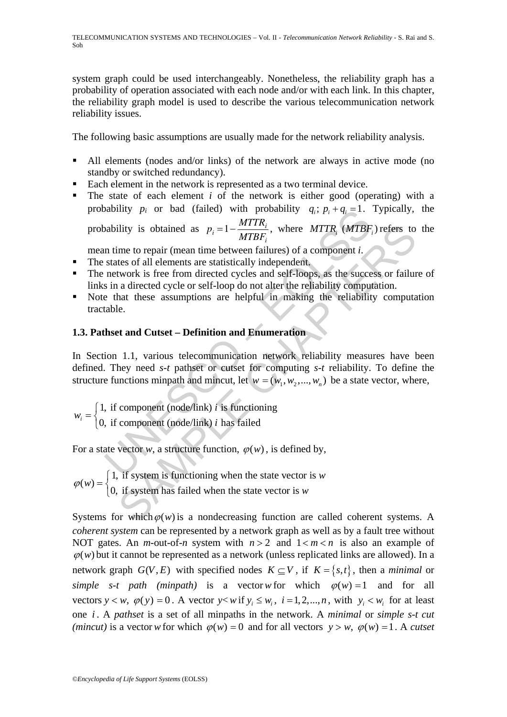system graph could be used interchangeably. Nonetheless, the reliability graph has a probability of operation associated with each node and/or with each link. In this chapter, the reliability graph model is used to describe the various telecommunication network reliability issues.

The following basic assumptions are usually made for the network reliability analysis.

- All elements (nodes and/or links) of the network are always in active mode (no standby or switched redundancy).
- Each element in the network is represented as a two terminal device.
- bushiny  $p_i$  or bad (tailed) with probability  $q_i$ ;  $p_i + q_i = 1$ .<br>
bushility is obtained as  $p_i = 1 \frac{MTTR_i}{MTBF_i}$ , where MTTR, (MTBF;<br>
in time to repair (mean time between failures) of a component *i*.<br>
states of all elements  $\blacksquare$  The state of each element *i* of the network is either good (operating) with a probability  $p_i$  or bad (failed) with probability  $q_i$ ;  $p_i + q_j = 1$ . Typically, the probability is obtained as  $p_i = 1 - \frac{MTTR_i}{MTDF}$ *MTBFi* , where  $MTTR<sub>i</sub>$   $(MTBF<sub>i</sub>)$  refers to the

mean time to repair (mean time between failures) of a component *i*.

- The states of all elements are statistically independent.
- The network is free from directed cycles and self-loops, as the success or failure of links in a directed cycle or self-loop do not alter the reliability computation.
- Note that these assumptions are helpful in making the reliability computation tractable.

# **1.3. Pathset and Cutset – Definition and Enumeration**

ility is obtained as  $p_i = 1 - \frac{WII}{MIBF_i}$ , where MTTR<sub>i</sub> (MTBF<sub>i</sub>) refers to<br>me to repair (mean time between failures) of a component *i*.<br>tes of all elements are statistically independent.<br>twork is free from directed cycl In Section 1.1, various telecommunication network reliability measures have been defined. They need *s*-*t* pathset or cutset for computing *s*-*t* reliability. To define the structure functions minpath and mincut, let  $w = (w_1, w_2, ..., w_n)$  be a state vector, where,

1, if component (node/link)  $i$  is functioning  $\binom{i}{i}$  0, if component (node/link) *i* has failed *i w*  $=\begin{cases} 1, & \text{if component (node/link)} \ i \\ 0, & \text{if component (node/link)} \ i \end{cases}$  $\overline{a}$ 

For a state vector *w*, a structure function,  $\varphi(w)$ , is defined by,

 $(W) = \begin{cases} 1, & \text{if system is functioning when the state vector is } w \\ 0, & \text{if system has failed when the state vector is } w \end{cases}$ *w*  $\varphi(w) = \begin{cases} 1, & \text{if system is functioning when the state vector} \\ 0, & \text{if system has failed when the state vector is } w \end{cases}$  $\overline{\mathcal{L}}$ 

Systems for which $\varphi(w)$  is a nondecreasing function are called coherent systems. A *coherent system* can be represented by a network graph as well as by a fault tree without NOT gates. An *m*-out-of-*n* system with  $n > 2$  and  $1 < m < n$  is also an example of  $\varphi(w)$  but it cannot be represented as a network (unless replicated links are allowed). In a network graph  $G(V, E)$  with specified nodes  $K \subseteq V$ , if  $K = \{s, t\}$ , then a *minimal* or *simple s-t path (minpath)* is a vector w for which  $\varphi(w) = 1$  and for all vectors  $y \lt w$ ,  $\varphi(y) = 0$ . A vector  $y \lt w$  if  $y_i \leq w_i$ ,  $i = 1, 2, ..., n$ , with  $y_i \lt w_i$  for at least one *i* . A *pathset* is a set of all minpaths in the network. A *minimal* or *simple s-t cut (mincut)* is a vector *w* for which  $\varphi(w) = 0$  and for all vectors  $y > w$ ,  $\varphi(w) = 1$ . A *cutset*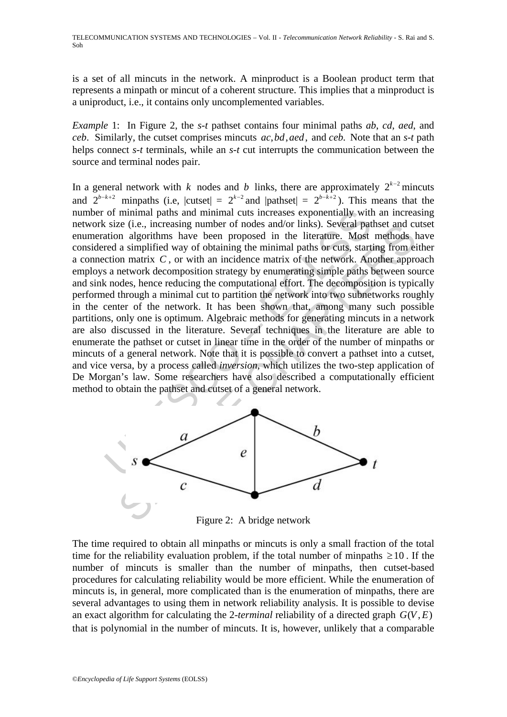is a set of all mincuts in the network. A minproduct is a Boolean product term that represents a minpath or mincut of a coherent structure. This implies that a minproduct is a uniproduct, i.e., it contains only uncomplemented variables.

*Example* 1: In Figure 2, the *s-t* pathset contains four minimal paths *ab*, *cd*, *aed*, and *ceb.* Similarly, the cutset comprises mincuts  $ac, bd, aed$ , and *ceb*. Note that an *s-t* path helps connect *s-t* terminals, while an *s-t* cut interrupts the communication between the source and terminal nodes pair.

of minimal paths and minimal cuts increases exponentially with<br>size (i.e., increasing number of nodes and/or links). Several pat<br>ation algorithms have been proposed in the literature. Most<br>red a simplified way of obtaining Et (i.e., increasing number of nodes and or links). Several patities and correlations are equel, and applified way of obtaining the minimal paths or cuts, starting from eitar and alternative of the network. Another approxi In a general network with *k* nodes and *b* links, there are approximately  $2^{k-2}$  mincuts and  $2^{b-k+2}$  minpaths (i.e,  $|{\text{cutset}}| = 2^{k-2}$  and  $|{\text{pathset}}| = 2^{b-k+2}$ ). This means that the number of minimal paths and minimal cuts increases exponentially with an increasing network size (i.e., increasing number of nodes and/or links). Several pathset and cutset enumeration algorithms have been proposed in the literature. Most methods have considered a simplified way of obtaining the minimal paths or cuts, starting from either a connection matrix *C* , or with an incidence matrix of the network. Another approach employs a network decomposition strategy by enumerating simple paths between source and sink nodes, hence reducing the computational effort. The decomposition is typically performed through a minimal cut to partition the network into two subnetworks roughly in the center of the network. It has been shown that, among many such possible partitions, only one is optimum. Algebraic methods for generating mincuts in a network are also discussed in the literature. Several techniques in the literature are able to enumerate the pathset or cutset in linear time in the order of the number of minpaths or mincuts of a general network. Note that it is possible to convert a pathset into a cutset, and vice versa, by a process called *inversion*, which utilizes the two-step application of De Morgan's law. Some researchers have also described a computationally efficient method to obtain the pathset and cutset of a general network.



Figure 2: A bridge network

The time required to obtain all minpaths or mincuts is only a small fraction of the total time for the reliability evaluation problem, if the total number of minpaths  $\geq 10$ . If the number of mincuts is smaller than the number of minpaths, then cutset-based procedures for calculating reliability would be more efficient. While the enumeration of mincuts is, in general, more complicated than is the enumeration of minpaths, there are several advantages to using them in network reliability analysis. It is possible to devise an exact algorithm for calculating the 2-*terminal* reliability of a directed graph  $G(V, E)$ that is polynomial in the number of mincuts. It is, however, unlikely that a comparable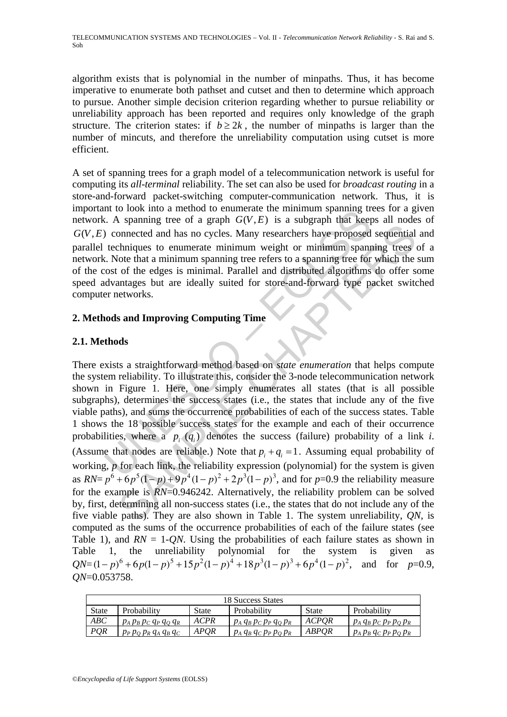algorithm exists that is polynomial in the number of minpaths. Thus, it has become imperative to enumerate both pathset and cutset and then to determine which approach to pursue. Another simple decision criterion regarding whether to pursue reliability or unreliability approach has been reported and requires only knowledge of the graph structure. The criterion states: if  $b \ge 2k$ , the number of minpaths is larger than the number of mincuts, and therefore the unreliability computation using cutset is more efficient.

A set of spanning trees for a graph model of a telecommunication network is useful for computing its *all-terminal* reliability. The set can also be used for *broadcast routing* in a store-and-forward packet-switching computer-communication network. Thus, it is important to look into a method to enumerate the minimum spanning trees for a given network. A spanning tree of a graph  $G(V, E)$  is a subgraph that keeps all nodes of  $G(V, E)$  connected and has no cycles. Many researchers have proposed sequential and parallel techniques to enumerate minimum weight or minimum spanning trees of a network. Note that a minimum spanning tree refers to a spanning tree for which the sum of the cost of the edges is minimal. Parallel and distributed algorithms do offer some speed advantages but are ideally suited for store-and-forward type packet switched computer networks.

# **2. Methods and Improving Computing Time**

# **2.1. Methods**

In the observation a method of entimidate the minimitive parameterical<br>
C. A spanning tree of a graph  $G(V, E)$  is a subgraph that keep<br>
connected and has no cycles. Many researchers have proposed<br>
techniques to enumerate m s permant and has no cycles. Many researchers have proposed sequential<br>chniques to enumerate minimum weight or minimum spanning trees<br>of the days is minimum spanning tree refers to a spanning tree for which the<br>of the deg There exists a straightforward method based on *state enumeration* that helps compute the system reliability. To illustrate this, consider the 3-node telecommunication network shown in Figure 1. Here, one simply enumerates all states (that is all possible subgraphs), determines the success states (i.e., the states that include any of the five viable paths), and sums the occurrence probabilities of each of the success states. Table 1 shows the 18 possible success states for the example and each of their occurrence probabilities, where a  $p_i(q_i)$  denotes the success (failure) probability of a link *i*. (Assume that nodes are reliable.) Note that  $p_i + q_i = 1$ . Assuming equal probability of working, *p* for each link, the reliability expression (polynomial) for the system is given as  $RN = p^6 + 6p^5(1-p) + 9p^4(1-p)^2 + 2p^3(1-p)^3$ , and for *p*=0.9 the reliability measure for the example is *RN*=0.946242. Alternatively, the reliability problem can be solved by, first, determining all non-success states (i.e., the states that do not include any of the five viable paths). They are also shown in Table 1. The system unreliability, *QN*, is computed as the sums of the occurrence probabilities of each of the failure states (see Table 1), and  $RN = 1$ -*QN*. Using the probabilities of each failure states as shown in Table 1, the unreliability polynomial for the system is given as  $QN=(1-p)^6 + 6p(1-p)^5 +15p^2(1-p)^4 +18p^3(1-p)^3 +6p^4(1-p)^2$ , and for *p*=0.9, *QN*=0.053758.

| 18 Success States |                           |              |                           |              |                           |  |  |  |
|-------------------|---------------------------|--------------|---------------------------|--------------|---------------------------|--|--|--|
| State             | Probability               | <b>State</b> | Probability               | <b>State</b> | Probability               |  |  |  |
| ABC               | $p_A p_B p_C q_P q_O q_R$ | <b>ACPR</b>  | $p_A q_B p_C p_P q_O p_R$ | <b>ACPOR</b> | $p_A q_B p_C p_P p_O p_R$ |  |  |  |
| <b>POR</b>        | $p_P p_O p_R q_A q_B q_C$ | APOR         | $p_A q_B q_C p_P p_O p_R$ | ABPOR        | $p_A p_B q_C p_P p_O p_R$ |  |  |  |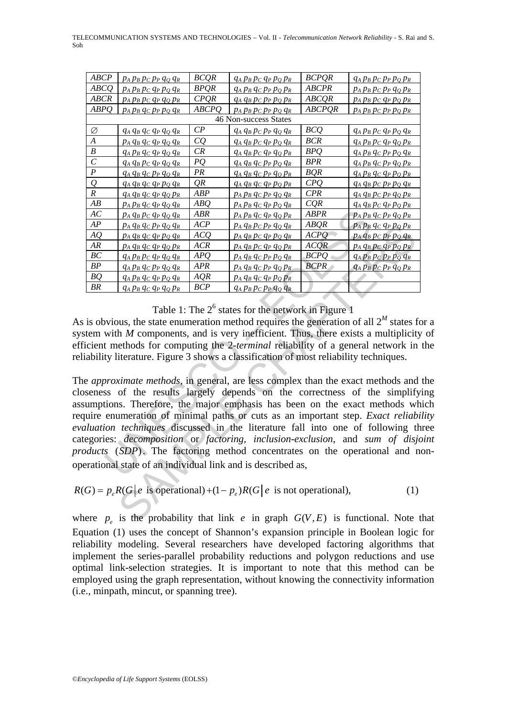|     | TELECOMMUNICATION SYSTEMS AND TECHNOLOGIES - Vol. II - Telecommunication Network Reliability - S. Rai and S. |
|-----|--------------------------------------------------------------------------------------------------------------|
| Soh |                                                                                                              |

| ABCP                  | $p_A p_B p_C p_P q_Q q_R$      | <b>BCQR</b>    | $q_A p_B p_C q_P p_Q p_R$  | <b>BCPQR</b>  | $q_A p_B p_C p_P p_Q p_R$ |  |  |  |
|-----------------------|--------------------------------|----------------|----------------------------|---------------|---------------------------|--|--|--|
| ABCQ                  | $p_A\,p_B\,p_C\,q_P\,p_Q\,q_R$ | <b>BPQR</b>    | $q_A p_B q_C p_P p_Q p_R$  | <b>ABCPR</b>  | $p_A p_B p_C p_P q_Q p_R$ |  |  |  |
| <b>ABCR</b>           | PAPBPC QP QQ PR                | CPQR           | $q_A q_B p_C p_P p_Q p_R$  | ABCQR         | $p_A p_B p_C q_P p_Q p_R$ |  |  |  |
| ABPQ                  | $p_A p_B q_C p_P p_Q q_R$      | <b>ABCPQ</b>   | $p_A p_B p_C p_P p_Q q_R$  | <b>ABCPQR</b> | $p_A p_B p_C p_P p_Q p_R$ |  |  |  |
| 46 Non-success States |                                |                |                            |               |                           |  |  |  |
| Ø                     | $q_A q_B q_C q_P q_Q q_R$      | $\mathcal{C}P$ | $q_A q_B p_C p_P q_Q q_R$  | <b>BCQ</b>    | $q_A p_B p_C q_P p_Q q_R$ |  |  |  |
| $\overline{A}$        | $p_A q_B q_C q_P q_Q q_R$      | CQ             | $q_A q_B p_C q_P p_Q q_R$  | <b>BCR</b>    | $q_A p_B p_C q_P q_Q p_R$ |  |  |  |
| $\boldsymbol{B}$      | $q_A p_B q_C q_P q_Q q_R$      | CR             | $q_A q_B p_C q_P q_Q p_R$  | BPQ           | $q_A p_B q_C p_P p_Q q_R$ |  |  |  |
| $\mathcal{C}_{0}^{0}$ | $q_A q_B p_C q_P q_Q q_R$      | PQ             | $q_A q_B q_C p_P p_Q q_R$  | <b>BPR</b>    | $q_A p_B q_C p_P q_Q p_R$ |  |  |  |
| $\boldsymbol{P}$      | $q_A q_B q_C p_P q_Q q_R$      | PR             | $q_A q_B q_C p_P q_Q p_R$  | BQR           | $q_A p_B q_C q_P p_Q p_R$ |  |  |  |
| $\overline{\varrho}$  | $q_A q_B q_C q_P p_Q q_R$      | QR             | $q_A q_B q_C q_P p_Q p_R$  | CPQ           | $q_A q_B p_C p_P p_Q q_R$ |  |  |  |
| $\boldsymbol{R}$      | $q_A q_B q_C q_P q_Q p_R$      | ABP            | $p_A p_B q_C p_P q_Q q_R$  | CPR           | $q_A q_B p_C p_P q_Q p_R$ |  |  |  |
| $\overline{AB}$       | <u>Ра Рв Чс Чр Чо Чк</u>       | ABQ            | <u>Ра Рв Чс Чр Ро Чк</u>   | CQR           | $q_A q_B p_C q_P p_Q p_R$ |  |  |  |
| AC                    | $p_A q_B p_C q_P q_Q q_R$      | ABR            | $p_A p_B q_C q_P q_Q p_R$  | <b>ABPR</b>   | $p_A p_B q_C p_P q_Q p_R$ |  |  |  |
| AP                    | <u>Рл Фв Фс Рр Фо Фк</u>       | ACP            | <u>Рл Фв Р сР Р Фо Ф R</u> | ABQR          | $p_A p_B q_C q_P p_Q p_R$ |  |  |  |
| AQ                    | PA QB Qc QP PQ QR              | ACQ            | $p_A q_B p_C q_P p_Q q_R$  | ACPQ          | $p_A q_B p_C p_P p_Q q_R$ |  |  |  |
| AR                    | Pa qb qc qp qq Pr              | ACR            | $p_A q_B p_C q_P q_Q p_R$  | ACQR          | $p_A q_B p_C q_P p_Q p_R$ |  |  |  |
| BC                    | $q_A p_B p_C q_P q_Q q_R$      | APQ            | $p_A q_B q_C p_P p_Q q_R$  | <b>BCPQ</b>   | $q_A p_B p_C p_P p_Q q_R$ |  |  |  |
| BP                    | $q_A p_B q_C p_P q_Q q_R$      | APR            | $p_A q_B q_C p_P q_Q p_R$  | <b>BCPR</b>   | $q_A p_B p_C p_P q_Q p_R$ |  |  |  |
| BQ                    | $q_A p_B q_C q_P p_Q q_R$      | AQR            | $p_A q_B q_C q_P p_Q p_R$  |               |                           |  |  |  |
| BR                    | $q_A p_B q_C q_P q_Q p_R$      | <b>BCP</b>     | $q_A p_B p_C p_P q_Q q_R$  |               |                           |  |  |  |

Table 1: The  $2^6$  states for the network in Figure 1

As is obvious, the state enumeration method requires the generation of all  $2^M$  states for a system with *M* components, and is very inefficient. Thus, there exists a multiplicity of efficient methods for computing the 2-*terminal* reliability of a general network in the reliability literature. Figure 3 shows a classification of most reliability techniques.

*PA AB PC AP AQ ABR PA PB ACR PA PB AC AP B AP PA AB PC AP A ACC PA AB PC PP 40 4R PA PB ACR PA AB PC AP AB PC AP PC AR ACC PA 4B PC AP AP B PC AP AB PC AP AP B PC AP AP B PC AP AP B PC AP AP B 40 G PP P 40 PR* **PA 49 4C PP O 48** ACP<br>
PA 49 6C PP O 48 ACP<br>
PA 48 PC PP O 48 ACP<br>
PA 49 C PP O 48 ACR<br>
PA 49 C PP O 48 ACR<br>
PA 49 PC 49 A 42 PC PP O 48 ACR<br>
42 PP O 48 APR<br>
42 PP O 48 APR<br>
42 PP O 48 APR<br>
42 PP O 48 APR<br>
PA 49 PC PP O The *approximate methods*, in general, are less complex than the exact methods and the closeness of the results largely depends on the correctness of the simplifying assumptions. Therefore, the major emphasis has been on the exact methods which require enumeration of minimal paths or cuts as an important step. *Exact reliability evaluation techniques* discussed in the literature fall into one of following three categories: *decomposition* or *factoring, inclusion-exclusion*, and *sum of disjoint products* (*SDP*). The factoring method concentrates on the operational and nonoperational state of an individual link and is described as,

$$
R(G) = p_e R(G \mid e \text{ is operational}) + (1 - p_e)R(G \mid e \text{ is not operational}),
$$
\n(1)

where  $p_e$  is the probability that link *e* in graph  $G(V, E)$  is functional. Note that Equation (1) uses the concept of Shannon's expansion principle in Boolean logic for reliability modeling. Several researchers have developed factoring algorithms that implement the series-parallel probability reductions and polygon reductions and use optimal link-selection strategies. It is important to note that this method can be employed using the graph representation, without knowing the connectivity information (i.e., minpath, mincut, or spanning tree).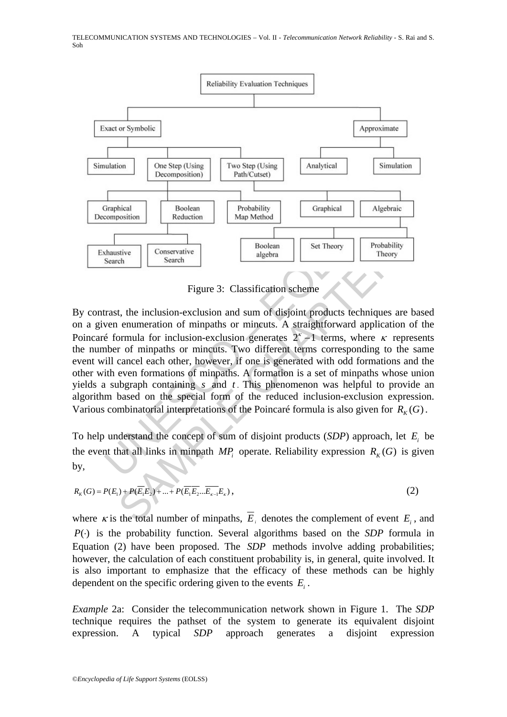

Figure 3: Classification scheme

Transmission Reduction Reduction<br>
Map Method Composition<br>
Search Search Reduction<br>
Search Search Bubbera (Search Reduction<br>
Search Search Bubbera (Search Reduction Scheme)<br>
Tigure 3: Classification scheme<br>
Transt, the inc Figure 3: Classification scheme<br>
Figure 3: Classification scheme<br>
Figure 3: Classification scheme<br>
t, the inclusion-exclusion and sum of disjoint products techniques are be<br>
numeration of minpaths or mineuts. A straightfo By contrast, the inclusion-exclusion and sum of disjoint products techniques are based on a given enumeration of minpaths or mincuts. A straightforward application of the Poincaré formula for inclusion-exclusion generates  $2^{k}-1$  terms, where  $\kappa$  represents the number of minpaths or mincuts. Two different terms corresponding to the same event will cancel each other, however, if one is generated with odd formations and the other with even formations of minpaths. A formation is a set of minpaths whose union yields a subgraph containing *s* and *t* . This phenomenon was helpful to provide an algorithm based on the special form of the reduced inclusion-exclusion expression. Various combinatorial interpretations of the Poincaré formula is also given for  $R_K(G)$ .

To help understand the concept of sum of disjoint products (*SDP*) approach, let *Ei* be the event that all links in minpath  $MP_i$  operate. Reliability expression  $R_K(G)$  is given by,

$$
R_K(G) = P(E_1) + P(\overline{E_1}E_2) + \dots + P(\overline{E_1}E_2 \dots \overline{E_{k-1}}E_k),
$$
\n(2)

where  $\kappa$  is the total number of minpaths,  $\overline{E}_i$  denotes the complement of event  $E_i$ , and *P*( $\cdot$ ) is the probability function. Several algorithms based on the *SDP* formula in Equation (2) have been proposed. The *SDP* methods involve adding probabilities; however, the calculation of each constituent probability is, in general, quite involved. It is also important to emphasize that the efficacy of these methods can be highly dependent on the specific ordering given to the events  $E_i$ .

*Example* 2a: Consider the telecommunication network shown in Figure 1. The *SDP* technique requires the pathset of the system to generate its equivalent disjoint expression. A typical *SDP* approach generates a disjoint expression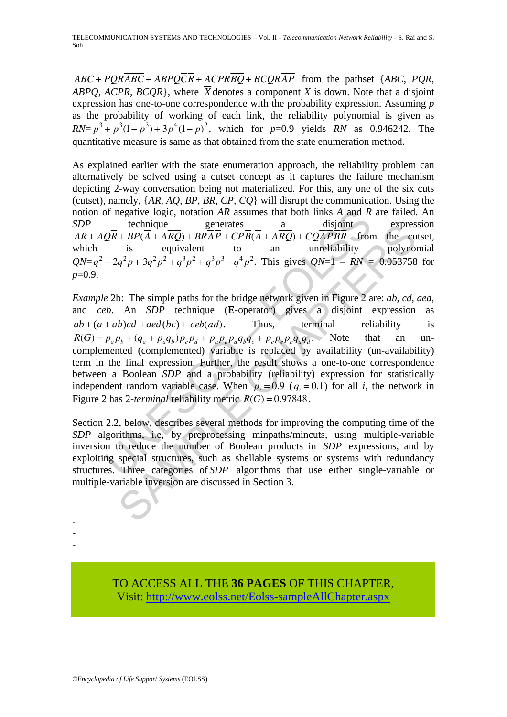$ABC + PQR\overline{ABC} + ABPQ\overline{CR} + ACPR\overline{BQ} + BCQR\overline{AP}$  from the pathset {*ABC*, *PQR*, *ABPO, ACPR, BCOR*}, where  $\overline{X}$  denotes a component *X* is down. Note that a disjoint expression has one-to-one correspondence with the probability expression. Assuming *p* as the probability of working of each link, the reliability polynomial is given as  $RN = p^3 + p^3(1-p^3) + 3p^4(1-p)^2$ , which for *p*=0.9 yields *RN* as 0.946242. The quantitative measure is same as that obtained from the state enumeration method.

As explained earlier with the state enumeration approach, the reliability problem can alternatively be solved using a cutset concept as it captures the failure mechanism depicting 2-way conversation being not materialized. For this, any one of the six cuts (cutset), namely, {*AR*, *AQ*, *BP*, *BR*, *CP*, *CQ*} will disrupt the communication. Using the notion of negative logic, notation *AR* assumes that both links *A* and *R* are failed. An *SDP* technique generates a disjoint expression  $AR + AQR + ARQ\overline{R} + BP(\overline{A} + \overline{A}R\overline{Q}) + BR\overline{A}P + CP\overline{B}(\overline{A} + \overline{A}R\overline{Q}) + CO\overline{A}P\overline{B}R$  from the cutset, which is equivalent to an unreliability polynomial  $QN=q^2+2q^2p+3q^2p^2+q^3p^2+q^3p^3-q^4p^2$ . This gives  $QN=1 - RN = 0.053758$  for *p*=0.9.

of negative logic, notation AR assumes that both links A and R<br>technique<br>
generates<br>  $Q\overline{R} + BP(\overline{A} + A\overline{R}Q) + BR\overline{A}P + CP\overline{B}(\overline{A} + A\overline{R}Q) + CQ\overline{A}PBR$  fror<br>
is equivalent to<br>  $\overline{B}$  is equivalent to<br>  $+2q^2p + 3q^2$ technique<br>  $\frac{1}{q^2p+3q^2p^2+q^3p^3-q^4p^2}$ .  $\frac{a}{AB(91R)}$  expres<br>  $\frac{1}{q^2p+3q^2p^2+q^3p^2+q^3p^3-q^4p^2}$ . This gives  $QN=1-RN = 0.053758$ <br>  $\frac{1}{q^2p+3q^2p^2+q^3p^2+q^3p^3-q^4p^2}$ . This gives  $QN=1-RN = 0.053758$ <br>
b: The si *Example* 2b: The simple paths for the bridge network given in Figure 2 are: *ab*, *cd*, *aed*, and *ceb*. An *SDP* technique (**E**-operator) gives a disjoint expression as  $ab + (a + ab)cd + aed(bc) + ceb(ad)$ . Thus, terminal reliability is  $R(G) = p_a p_b + (q_a + p_a q_b) p_c p_d + p_a p_e p_d q_b q_c + p_c p_e p_b q_a q_d$ . Note that an uncomplemented (complemented) variable is replaced by availability (un-availability) term in the final expression. Further, the result shows a one-to-one correspondence between a Boolean *SDP* and a probability (reliability) expression for statistically independent random variable case. When  $p_i = 0.9$  ( $q_i = 0.1$ ) for all *i*, the network in Figure 2 has 2-*terminal* reliability metric  $R(G) = 0.97848$ .

Section 2.2, below, describes several methods for improving the computing time of the *SDP* algorithms, i.e, by preprocessing minpaths/mincuts, using multiple-variable inversion to reduce the number of Boolean products in *SDP* expressions, and by exploiting special structures, such as shellable systems or systems with redundancy structures. Three categories of *SDP* algorithms that use either single-variable or multiple-variable inversion are discussed in Section 3.

> TO ACCESS ALL THE **36 PAGES** OF THIS CHAPTER, Visi[t: http://www.eolss.net/Eolss-sampleAllChapter.aspx](https://www.eolss.net/ebooklib/sc_cart.aspx?File=E6-108-13-00)

- - -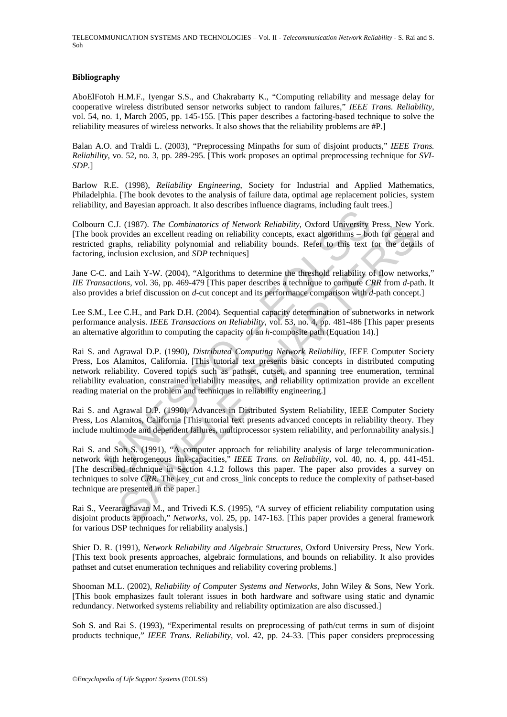#### **Bibliography**

AboElFotoh H.M.F., Iyengar S.S., and Chakrabarty K., "Computing reliability and message delay for cooperative wireless distributed sensor networks subject to random failures," *IEEE Trans. Reliability*, vol. 54, no. 1, March 2005, pp. 145-155. [This paper describes a factoring-based technique to solve the reliability measures of wireless networks. It also shows that the reliability problems are #P.]

Balan A.O. and Traldi L. (2003), "Preprocessing Minpaths for sum of disjoint products," *IEEE Trans. Reliability*, vo. 52, no. 3, pp. 289-295. [This work proposes an optimal preprocessing technique for *SVI*-*SDP.*]

Barlow R.E. (1998), *Reliability Engineering*, Society for Industrial and Applied Mathematics, Philadelphia. [The book devotes to the analysis of failure data, optimal age replacement policies, system reliability, and Bayesian approach. It also describes influence diagrams, including fault trees.]

Colbourn C.J. (1987). *The Combinatorics of Network Reliability,* Oxford University Press, New York. [The book provides an excellent reading on reliability concepts, exact algorithms – both for general and restricted graphs, reliability polynomial and reliability bounds. Refer to this text for the details of factoring, inclusion exclusion, and *SDP* techniques]

Jane C-C. and Laih Y-W. (2004), "Algorithms to determine the threshold reliability of flow networks," *IIE Transactions*, vol. 36, pp. 469-479 [This paper describes a technique to compute *CRR* from *d*-path. It also provides a brief discussion on *d*-cut concept and its performance comparison with *d*-path concept.]

Lee S.M., Lee C.H., and Park D.H. (2004). Sequential capacity determination of subnetworks in network performance analysis. *IEEE Transactions on Reliability*, vol. 53, no. 4, pp. 481-486 [This paper presents an alternative algorithm to computing the capacity of an *h*-composite path (Equation 14).]

C.J. (1987). The Combinatorics of Network Reliability, Oxford University<br>k provides an excellent reading on reliability concepts, exact algorithms - bo<br>graphs, reliability polynomial and reliability bounds. Refer to this t 1. (1981). The Combinatorcs of Network Reliability, Oxtord University Press, New Orolds an excellent realing on reliability concepts, exact algorithms – both for general<br>phs, reliability polynomial and reliability concept Rai S. and Agrawal D.P. (1990), *Distributed Computing Network Reliability*, IEEE Computer Society Press, Los Alamitos, California. [This tutorial text presents basic concepts in distributed computing network reliability. Covered topics such as pathset, cutset, and spanning tree enumeration, terminal reliability evaluation, constrained reliability measures, and reliability optimization provide an excellent reading material on the problem and techniques in reliability engineering.]

Rai S. and Agrawal D.P. (1990), Advances in Distributed System Reliability, IEEE Computer Society Press, Los Alamitos, California [This tutorial text presents advanced concepts in reliability theory. They include multimode and dependent failures, multiprocessor system reliability, and performability analysis.]

Rai S. and Soh S. (1991), "A computer approach for reliability analysis of large telecommunicationnetwork with heterogeneous link-capacities," *IEEE Trans. on Reliability*, vol. 40, no. 4, pp. 441-451. [The described technique in Section 4.1.2 follows this paper. The paper also provides a survey on techniques to solve *CRR*. The key\_cut and cross\_link concepts to reduce the complexity of pathset-based technique are presented in the paper.]

Rai S., Veeraraghavan M., and Trivedi K.S. (1995), "A survey of efficient reliability computation using disjoint products approach," *Networks*, vol. 25, pp. 147-163. [This paper provides a general framework for various DSP techniques for reliability analysis.]

Shier D. R. (1991), *Network Reliability and Algebraic Structures*, Oxford University Press, New York. [This text book presents approaches, algebraic formulations, and bounds on reliability. It also provides pathset and cutset enumeration techniques and reliability covering problems.]

Shooman M.L. (2002), *Reliability of Computer Systems and Networks*, John Wiley & Sons, New York. [This book emphasizes fault tolerant issues in both hardware and software using static and dynamic redundancy. Networked systems reliability and reliability optimization are also discussed.]

Soh S. and Rai S. (1993), "Experimental results on preprocessing of path/cut terms in sum of disjoint products technique," *IEEE Trans. Reliability*, vol. 42, pp. 24-33. [This paper considers preprocessing